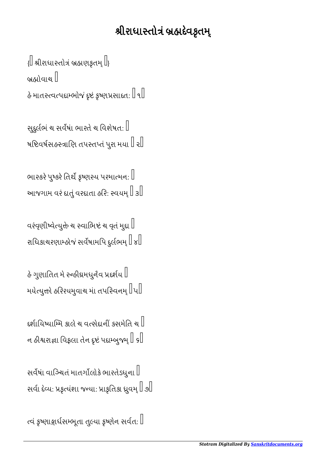## શ્રીરાધાસ્તોત્રં બ્રહ્મદેવકૃતમ્

 $\left\{ \left\Vert \right. \right.$ શ્રીરાધાસ્તોત્રં બ્રહ્મણકૂતમ્ $\left. \right\Vert _{l}$ બ્રહ્મોવાચ $\,$   $\,$ હે માતસ્ત્વત્પદ્યમ્ભોજં દૃષ્ટં કૃષ્ણપ્રસાદત:  $\parallel$  ૧ $\parallel$ 

સુદુર્લભં ચ સર્વેષાં ભારતે ચ વિશેષત:  $\mathbb I$ ષષ્ટિવર્ષસહસ્ત્રાણિ તપસ્તપ્તં પુરા મયા  $\mathbb I$  ર $\mathbb I$ 

ભાસ્કરે પુષ્કરે તિર્થે કૃષ્ણસ્ય પરમાત્મન:  $\mathbin\Vert$ આજગામ વરં દાતું વરદાતા હરિ: સ્વયમ્ $\mathbb I$  ૩ $\mathbb I$ 

વરંવૃણીષ્વેત્યુ્તે ચ સ્વાભિષ્ટં ચ વૃતં મુદ્દા $\mathord{\mathbb I}$ રાધિકાચરણામ્હોજં સર્વેષામપિ દુર્લભમ્ $\mathbb I$  ૪ $\mathbb I$ 

હે ગુણાતિત મે સ્ન્હીઘ્રમધુનૈવ પ્રદર્શય $\mathbin\Vert$ મયેત્યુત્તો હરિરયમુવાચ માં તપસ્વિનમ્ $\parallel$ પ $\parallel$ 

 $\,$ દર્શાયિષ્યામ્મિ કાલે ચ વત્સેદાનીં ક્સમેતિ ચ $\, \mathbb{I} \,$ ન હીશ્વરાજ્ઞા વિફલા તેન દૃષ્ટં પદ્યમ્બુજમ્  $\mathbb I$  ક $\mathbb I$ 

સર્વેષાં વાઝ્ચિતં માતર્ગોલોકે ભારતેડધુના  $\mathbin\Vert$ સર્વા દેવ્યઃ પ્રકૃત્યંશા જન્યાઃ પ્રાકૃતિકા ધ્રુવમ્ $\parallel$  ૭ $\parallel$ 

ત્વં કૃષ્ણાજ્ઞાર્ધસમ્ભૂતા તુલ્યા કૃષ્ણેન સર્વત: $\mathbb I$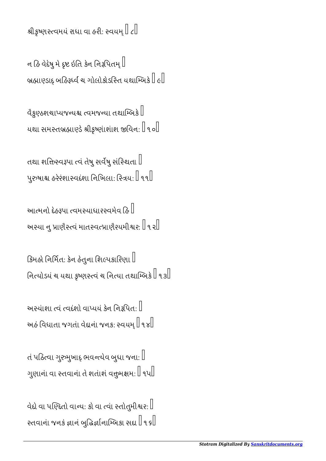શ્રીકૃષ્ણસ્ત્વમયં રાધા વા હરી: સ્વયમ્ $\mathbb{I}$   $\ell \mathbb{I}$ 

ન હિ વેદેષુ મે દૃષ્ટ ઇતિ કેન નિરૂપિતમ્ $\mathbin\Vert$ વ્યહ્માણ્ડાદ્ બહિરૂધ્વી ચ ગોલોકોડસ્તિ યથામ્બિકે $\mathbb I$   $\epsilon \mathbb I$ 

વૈકુણ્ઠશચાપ્યજન્યશ્ચ ત્વમજન્યા તથામ્બિકે $\mathbin\Vert$ યથા સમસ્તબ્રહ્માણ્ડે શ્રીકૃષ્ણાંશાંશ જવિન:  $\mathbb I$ ૧૦ $\mathbb I$ 

તથા શક્તિસ્વરૂપા ત્વં તેષુ સર્વેષુ સંસ્થિતા $\parallel$ પુરુષાશ્ચ હરેરંશાસ્વદંશા નિખિલા: સ્ત્રિય:  $\mathbb I$  ૧૧ $\mathbb I$ 

આમનો દેહપા વમયાધારવમેવ િહ અસ્યા નુ પ્રાણૈસ્ત્વં માતસ્વત્પ્રાણૈરયમીશ્વર:  $\mathbb I$  ૧૨ $\mathbb I$ 

િકમહો નિર્મિત: કેન હેતુના શિલ્પકારિણા  $\mathbin\Vert$ નિત્યોડયં ચ યથા કૃષ્ણસ્ત્વં ચ નિત્યા તથામ્બિકે $\mathbin{\mathbb{I}}$ ૧૩ $\mathbin{\mathbb{I}}$ 

અસ્યાંશા ત્વં ત્વદંશો વાપ્યયં કેન નિરૂપિત:  $\mathbin\Vert$ અહં વિધાતા જગતાં વેદાનાં જનક: સ્વયમ્ $\mathord{\mathbb{I}}$  ૧૪ $\mathord{\mathbb{I}}$ 

તં પઠિત્વા ગુરુમુખાદ ભવન્ત્યેવ બુધા જના:  $\mathbin\Vert$ ગુણાનાં વા સ્તવાનાં તે શતાંશં વત્તુમક્ષમ:  $\mathbb I$  ૧૫ $\mathbb I$ 

વેદો વા પણ્દિતો વાન્ય: કો વા ત્વાં સ્તોતુમીશ્વર:  $\mathbin\Vert$ રતવાનાં જનકં જ્ઞાનં બુદ્ધિર્જ્ઞાનામ્બિકા સદ્ય $\mathbin{\mathbb{I}}$ ૧૬ $\mathbin{\mathbb{I}}$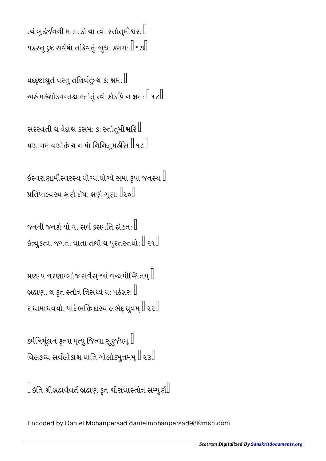ત્વં બુહેર્જનની માત: કો વા ત્વાં સ્તોતુમીશ્વર:  $\mathbb I$ યઢસ્તુ દૃષ્ટં સર્વેષાં તઢિવત્તૃં બુધ: કસમ: || ૧૭||

યદદૃષ્ટાશ્રુતં વસ્તુ તન્નિર્વજ્નૃ ચ ક: ક્ષમ:  $\mathbb I$ અહં મહેશોડનન્તશ્ચ સ્તોતું ત્વાં કોડપિ ન ક્ષમ:  $\mathbin\Vert$  ૧૮ $\mathbin\Vert$ 

સરસ્વતી ચ વેદાશ્ચ કસમ: ક: સ્તોતુમીશ્વરિ $\mathbb I$ યથાગમં યથોત્તં ચ ન માં નિન્દિતુમર્હસિ  $\mathbin{\|}$  ૧૯ $\mathbin{\|}$ 

ઈસ્વરાણામીસ્વરસ્ય યોગ્યાયોગ્યે સમા કૃપા જનસ્ય $\mathbin\Vert$ પ્રતિપાલ્યસ્ય ક્ષણે દોષ: ક્ષણે ગણ:  $\mathbb{I}$ ૨૦ $\mathbb{I}$ 

 $\gamma$ નની જનકો યો વા સર્વ કસમતિ સ્રેહત:  $\mathbb I$ ઇત્યુક્ત્વા જગતાં ધાતા તથૌ ચ પુરતસ્તયો:  $\mathbb I$  ૨૧ $\mathbb I$ 

પ્રણમ્ય ચરણામ્ભોજં સર્વેસ:આં વન્ધમીપ્સિતમ્ $\mathbin\Vert$ બ્રહ્મણા ચ કૃતં સ્તોત્રં ત્રિસંધ્યં ય: પઠેશ્નર:  $\mathbin\Vert$ રાધામાધવયો: પાદે ભત્તિં દ્યસ્યં લભેદ ધ્રવમ $\mathbin{\mathbb{I}}$  ૨૨ $\mathbin{\mathbb{I}}$ 

 $\mathfrak{sl}$ નિર્મૂલનં ક્રત્વા મૃત્યું જિત્વા સુદુર્જયમ્ $\mathbb I$ વિલઙઘ્ય સર્વલોકાશ્ચ યાતિ ગોલોકમત્તમમ $\mathbin{\mathbb I}$  ૨૩ $\mathbin{\mathbb I}$ 

 $\parallel$ ઇતિ શ્રીબ્રહ્મવૈવર્ત બ્રહ્મણ કૃતં શ્રીરાધાસ્તોત્રં સમ્પુર્ણ $\parallel$ 

Encoded by Daniel Mohanpersad danielmohanpersad98@msn.com